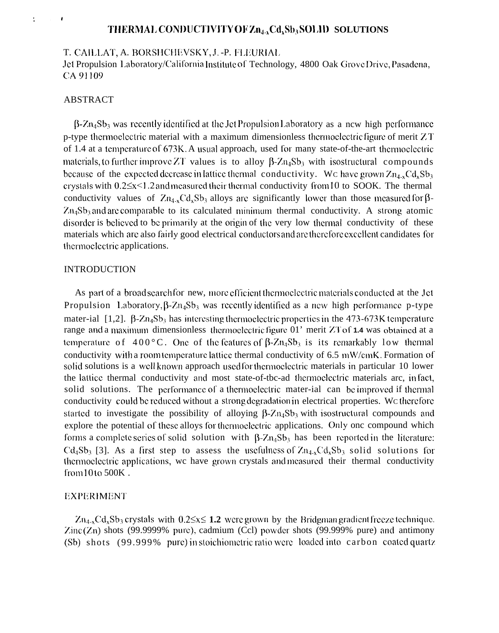# THERMAL CONDUCTIVITY OF Zn<sub>4</sub>, Cd, Sb<sub>3</sub>SOLID SOLUTIONS

T. CAILLAT, A. BORSHCHEVSKY, J. - P. FLEURIAL

Jet Propulsion Laboratory/California Institute of Technology, 4800 Oak Grove Drive, Pasadena, CA 91109

### **ABSTRACT**

 $\ddot{\phantom{a}}$ 

 $\beta$ -Zn<sub>4</sub>Sb<sub>3</sub> was recently identified at the Jet Propulsion Laboratory as a new high performance p-type thermoelectric material with a maximum dimensionless thermoelectric figure of merit  $ZT$ of 1.4 at a temperature of 673K. A usual approach, used for many state-of-the-art thermoelectric materials, to further improve ZT values is to alloy  $\beta$ -Zn<sub>4</sub>Sb<sub>3</sub> with isostructural compounds because of the expected decrease in lattice thermal conductivity. We have grown  $Zn_{4-x}Cd_{x}Sb_{3}$ crystals with  $0.2 \le x \le 1.2$  and measured their thermal conductivity from 10 to SOOK. The thermal conductivity values of  $Zn_{4x}Cd_{x}Sb_3$  alloys are significantly lower than those measured for  $\beta$ - $Zn_4Sb_3$  and are comparable to its calculated minimum thermal conductivity. A strong atomic disorder is believed to be primarily at the origin of the very low thermal conductivity of these materials which are also fairly good electrical conductors and are therefore excellent candidates for thermoelectric applications.

### **INTRODUCTION**

As part of a broad search for new, more efficient thermoelectric materials conducted at the Jet Propulsion Laboratory,  $\beta$ - $Zn_4Sb_3$  was recently identified as a new high performance p-type mater-ial [1,2].  $\beta$ -Zn<sub>4</sub>Sb<sub>3</sub> has interesting thermoelectric properties in the 473-673K temperature range and a maximum dimensionless thermoelectric figure 01' merit ZT of 1.4 was obtained at a temperature of 400°C. One of the features of  $\beta$ -Zn<sub>4</sub>Sb<sub>3</sub> is its remarkably low thermal conductivity with a room temperature lattice thermal conductivity of 6.5 mW/cmK. Formation of solid solutions is a well known approach used for thermoelectric materials in particular 10 lower the lattice thermal conductivity and most state-of-tbc-ad thermoelectric materials arc, in fact, solid solutions. The performance of a thermoelectric mater-ial can be improved if thermal conductivity could be reduced without a strong degradation in electrical properties. We therefore started to investigate the possibility of alloying  $\beta$ -Zn<sub>4</sub>Sb<sub>3</sub> with isostructural compounds and explore the potential of these alloys for thermoelectric applications. Only one compound which forms a complete series of solid solution with  $\beta$ -Zn<sub>4</sub>Sb<sub>3</sub> has been reported in the literature:  $Cd<sub>4</sub>Sb<sub>3</sub>$  [3]. As a first step to assess the usefulness of  $Zn_{4x}Cd<sub>x</sub>Sb<sub>3</sub>$  solid solutions for thermoelectric applications, we have grown crystals and measured their thermal conductivity from 10 to 500K.

### **EXPERIMENT**

 $Zn_{4-x}Cd_xSb_3$  crystals with  $0.2 \le x \le 1.2$  were grown by the Bridgman gradient freeze technique.  $\text{Zinc}(\text{Zn})$  shots (99.9999% pure), cadmium (Ccl) powder shots (99.999% pure) and antimony (Sb) shots (99.999% pure) in stoichiometric ratio were loaded into carbon coated quartz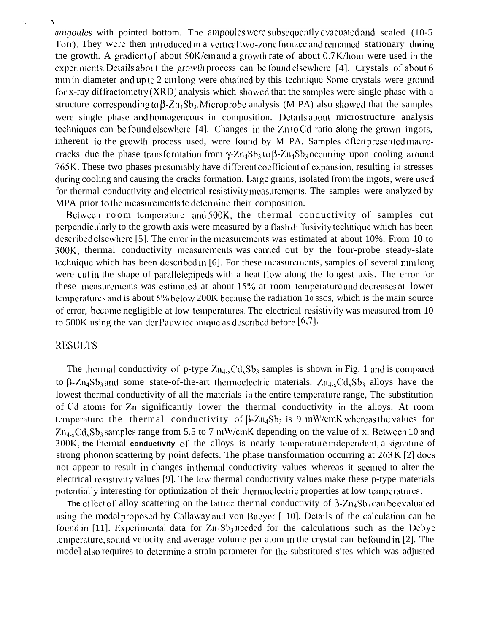ampoules with pointed bottom. The ampoules were subsequently evacuated and scaled  $(10-5)$ Torr). They were then introduced in a vertical two-zone furnace and remained stationary during the growth. A gradient of about  $50K/cm$  and a growth rate of about  $0.7K/h$  our were used in the experiments. Details about the growth process can be found elsewhere [4]. Crystals of about 6 mm in diameter and up to 2 cm long were obtained by this technique. Some crystals were ground for x-ray diffractometry  $(XRD)$  analysis which showed that the samples were single phase with a structure corresponding to  $\beta$ -Zn<sub>4</sub>Sb<sub>3</sub>. Microprobc analysis (M PA) also showed that the samples were single phase and homogeneous in composition. Details about microstructure analysis Icchniqucs can bc found clscwhcrc [4]. Changes in the Zn to Cd ratio along the grown ingots, inherent to the growth process used, were found by M PA. Samples often presented macrocracks duc the phase transformation from  $\gamma$ -Zn<sub>4</sub>Sb<sub>3</sub> to  $\beta$ -Zn<sub>4</sub>Sb<sub>3</sub> occurring upon cooling around 765K. These two phases presumably have different coefficient of expansion, resulting in stresses during cooling and causing the cracks formation. Large grains, isolated from the ingots, were used for thermal conductivity and electrical resistivity measurements. The samples were analyzed by MPA prior to the measurements to determine their composition.

Between room temperature and 500K, the thermal conductivity of samples cut perpendicularly to the growth axis were measured by a flash diffusivity technique which has been described elsewhere [5]. The error in the measurements was estimated at about 10%. From 10 to 300K, thermal conductivity measurements was carried out by the four-probe steady-slate tcchniquc which has been dcscribcd in [6]. For these mcasurcmcnts, samples of several mm long were cut in the shape of parallclcpipcds with a heat tlow along the longest axis. The error for these measurements was estimated at about  $15\%$  at room temperature and decreases at lower temperatures and is about 5% below 200K because the radiation 10 sscs, which is the main source of error, become negligible at low temperatures. The electrical resistivity was measured from 10 to 500K using the van der Pauw technique as described before  $[6,7]$ .

# **RESULTS**

**'. ',**

The thermal conductivity of p-type  $Zn_{4-x}Cd_xSb_3$  samples is shown in Fig. 1 and is compared to  $\beta$ -Zn<sub>4</sub>Sb<sub>3</sub> and some state-of-the-art thermoclectric materials. Zn<sub>4-x</sub>Cd<sub>x</sub>Sb<sub>3</sub> alloys have the lowest thermal conductivity of all the materials in the entire tcmpcraturc range, The substitution of Cd atoms for Zn significantly lower the thermal conductivity in the alloys. At room temperature the thermal conductivity of  $\beta$ -Zn<sub>4</sub>Sb<sub>3</sub> is 9 mW/cmK whereas the values for  $Zn_{4x}Cd_xSb_3$  samples range from 5.5 to 7 mW/cmK depending on the value of x. Between 10 and 300K, the thermal conductivity of the alloys is nearly temperature independent, a signature of strong phonon scattering by point defects. The phase transformation occurring at  $263 K [2]$  does not appear to result in changes in thermal conductivity values whereas it scemed to alter the electrical rcsistivity values [9]. The low thermal conductivity values make these p-type materials potentially interesting for optimization of their thermoclectric properties at low temperatures.

**The** effect of alloy scattering on the lattice thermal conductivity of  $\beta$ -Zn<sub>4</sub>Sb<sub>3</sub> can be evaluated using the model proposed by Callaway and von Bacycr  $\lceil 10 \rceil$ . Details of the calculation can be found in [11]. Experimental data for  $Zn_4Sb_3$  needed for the calculations such as the Debye temperature, sound velocity and average volume per atom in the crystal can be found in [2]. The mode] also requires to determine a strain parameter for the substituted sites which was adjusted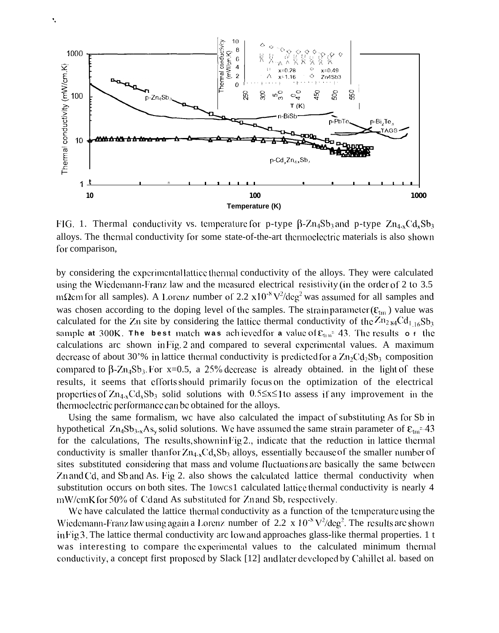

FIG. 1. Thermal conductivity vs. temperature for p-type  $\beta$ -Zn<sub>4</sub>Sb<sub>3</sub> and p-type Zn<sub>4-x</sub>Cd<sub>x</sub>Sb<sub>3</sub> alloys. The thermal conductivity for some state-of-the-art thermoclectric materials is also shown for comparison.

by considering the experimental lattice thermal conductivity of the alloys. They were calculated using the Wiedemann-Franz law and the measured electrical resistivity (in the order of 2 to 3.5 mΩcm for all samples). A Lorenz number of 2.2 x10<sup>-8</sup>  $V^2$ /deg<sup>2</sup> was assumed for all samples and was chosen according to the doping level of the samples. The strain parameter  $(\varepsilon_{\text{tm}})$  value was calculated for the Zn site by considering the lattice thermal conductivity of the  $Zn_{284}Cd_{1.16}Sb_3$ sample at 300K. The best match was achieved for a value of  $\epsilon_{\text{un}}$  43. The results o f the calculations arc shown in Fig. 2 and compared to several experimental values. A maximum decrease of about 30'% in lattice thermal conductivity is predicted for a  $\text{Zn}_2\text{Cd}_2\text{Sb}_3$  composition compared to  $\beta$ -Zn<sub>4</sub>Sb<sub>3</sub>. For x=0.5, a 25% decrease is already obtained. in the light of these results, it seems that efforts should primarily focus on the optimization of the electrical properties of  $Zn_{4x}Cd_{x}Sb_{3}$  solid solutions with 0.5 \less 110 assess if any improvement in the thermoelectric performance can be obtained for the alloys.

Using the same formalism, we have also calculated the impact of substituting As for Sb in hypothetical  $Zn_4Sb_{3-x}As_v$  solid solutions. We have assumed the same strain parameter of  $\varepsilon_{\text{tan}}$  -43 for the calculations, The results, shown in Fig 2., indicate that the reduction in lattice thermal conductivity is smaller than for  $Zn_{4-x}Cd_xSb_3$  alloys, essentially because of the smaller number of sites substituted considering that mass and volume fluctuations are basically the same between Zn and Cd, and Sb and As. Fig 2. also shows the calculated lattice thermal conductivity when substitution occurs on both sites. The 10wcs1 calculated lattice thermal conductivity is nearly 4 mW/cmK for 50% of Cd and As substituted for Zn and Sb, respectively.

We have calculated the lattice thermal conductivity as a function of the temperature using the Wiedemann-Franz law using again a Lorenz number of 2.2 x  $10^{-8}$  V<sup>2</sup>/deg<sup>2</sup>. The results are shown in Fig 3. The lattice thermal conductivity arc low and approaches glass-like thermal properties. 1 t was interesting to compare the experimental values to the calculated minimum thermal conductivity, a concept first proposed by Slack [12] and later developed by Cahillet al. based on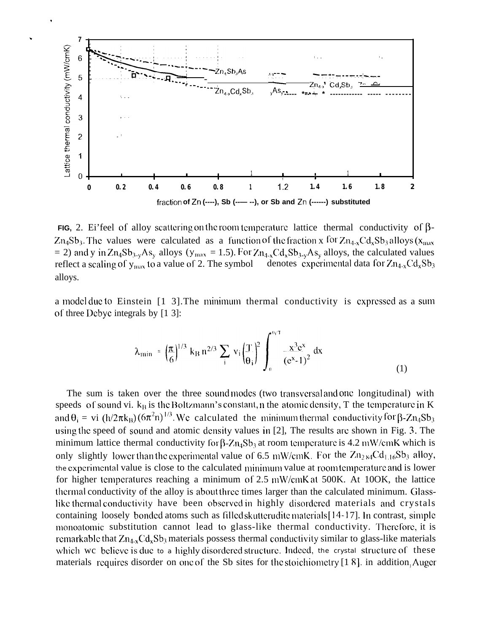

**FIG,** 2. Ei'feel of alloy scattering on the room temperature lattice thermal conductivity of  $\beta$ - $Zn_4Sb_3$ . The values were calculated as a function of the fraction x for  $Zn_{4-x}Cd_xSb_3$  alloys  $(x_{max}$ = 2) and y in  $Zn_4Sb_{3-y}As_y$  alloys (y<sub>max</sub> = 1.5). For  $Zn_{4-x}Cd_xSb_{3-y}As_y$  alloys, the calculated values denotes experimental data for  $Zn_{4-x}Cd_{x}Sb_{3}$ reflect a scaling of  $y_{max}$  to a value of 2. The symbol alloys.

a model due to Einstein [1 3]. The minimum thermal conductivity is expressed as a sum of three Debyc integrals by [1 3]:

$$
\lambda_{\min} = \left(\frac{\pi}{6}\right)^{1/3} k_{\rm B} n^{2/3} \sum_{i} v_{i} \left(\frac{T}{\theta_{i}}\right)^{2} \int_{0}^{\theta_{i}/T} \frac{x^{3} e^{x}}{(e^{x} - 1)^{2}} dx
$$
 (1)

The sum is taken over the three sound modes (two transversal and one longitudinal) with speeds of sound vi.  $k_B$  is the Boltzmann's constant, n the atomic density, T the temperature in K and  $\theta_i = v_i (h/2\pi k_B) (6\pi^2 n)^{1/3}$ . We calculated the minimum thermal conductivity for  $\beta$ -Zn<sub>4</sub>Sb<sub>3</sub> using the speed of sound and atomic density values in [2]. The results are shown in Fig. 3. The minimum lattice thermal conductivity for  $\beta$ -Zn<sub>4</sub>Sb<sub>3</sub> at room temperature is 4.2 mW/cmK which is only slightly lower than the experimental value of 6.5 mW/cmK. For the  $Zn_{2.84}Cd_{1.16}Sb_3$  alloy, the experimental value is close to the calculated minimum value at room temperature and is lower for higher temperatures reaching a minimum of 2.5 mW/cmK at 500K. At 10OK, the lattice thermal conductivity of the alloy is about three times larger than the calculated minimum. Glasslike thermal conductivity have been observed in highly disordered materials and crystals containing loosely bonded atoms such as filled skutterudite materials [14-17]. In contrast, simple monoatomic substitution cannot lead to glass-like thermal conductivity. Therefore, it is remarkable that  $Zn_{4x}Cd_xSb_3$  materials possess thermal conductivity similar to glass-like materials which we believe is due to a highly disordered structure. Indeed, the crystal structure of these materials requires disorder on one of the Sb sites for the stoichiometry [18]. in addition, Auger